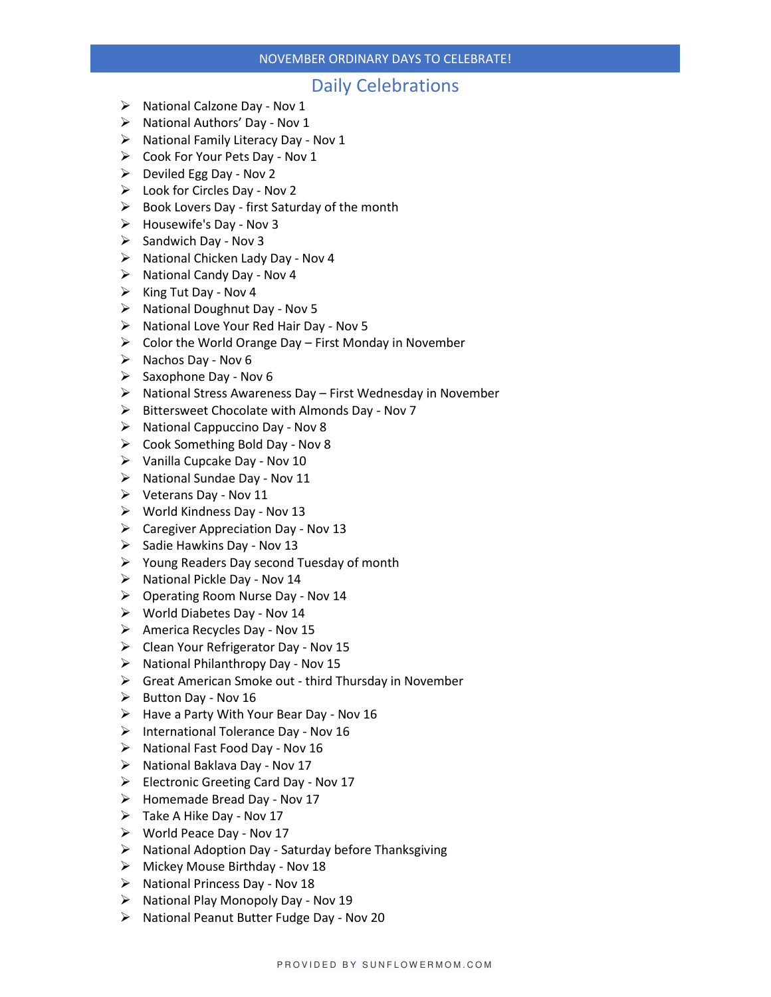### NOVEMBER ORDINARY DAYS TO CELEBRATE!

## Daily Celebrations

- ➢ National Calzone Day Nov 1
- ➢ National Authors' Day Nov 1
- ➢ National Family Literacy Day Nov 1
- $\triangleright$  Cook For Your Pets Day Nov 1
- $\triangleright$  Deviled Egg Day Nov 2
- $\triangleright$  Look for Circles Day Nov 2
- $\triangleright$  Book Lovers Day first Saturday of the month
- ➢ Housewife's Day Nov 3
- $\triangleright$  Sandwich Day Nov 3
- ➢ National Chicken Lady Day Nov 4
- ➢ National Candy Day Nov 4
- $\triangleright$  King Tut Day Nov 4
- ➢ National Doughnut Day Nov 5
- ➢ National Love Your Red Hair Day Nov 5
- $\triangleright$  Color the World Orange Day First Monday in November
- $\triangleright$  Nachos Day Nov 6
- $\triangleright$  Saxophone Day Nov 6
- ➢ National Stress Awareness Day First Wednesday in November
- ➢ Bittersweet Chocolate with Almonds Day Nov 7
- ➢ National Cappuccino Day Nov 8
- ➢ Cook Something Bold Day Nov 8
- $\triangleright$  Vanilla Cupcake Day Nov 10
- ➢ National Sundae Day Nov 11
- $\triangleright$  Veterans Day Nov 11
- ➢ World Kindness Day Nov 13
- ➢ Caregiver Appreciation Day Nov 13
- $\triangleright$  Sadie Hawkins Day Nov 13
- ➢ Young Readers Day second Tuesday of month
- ➢ National Pickle Day Nov 14
- ➢ Operating Room Nurse Day Nov 14
- ➢ World Diabetes Day Nov 14
- ➢ America Recycles Day Nov 15
- ➢ Clean Your Refrigerator Day Nov 15
- ➢ National Philanthropy Day Nov 15
- ➢ Great American Smoke out third Thursday in November
- $\triangleright$  Button Day Nov 16
- $\triangleright$  Have a Party With Your Bear Day Nov 16
- ➢ International Tolerance Day Nov 16
- ➢ National Fast Food Day Nov 16
- ➢ National Baklava Day Nov 17
- ➢ Electronic Greeting Card Day Nov 17
- ➢ Homemade Bread Day Nov 17
- ➢ Take A Hike Day Nov 17
- ➢ World Peace Day Nov 17
- ➢ National Adoption Day Saturday before Thanksgiving
- ➢ Mickey Mouse Birthday Nov 18
- ➢ National Princess Day Nov 18
- ➢ National Play Monopoly Day Nov 19
- ➢ National Peanut Butter Fudge Day Nov 20